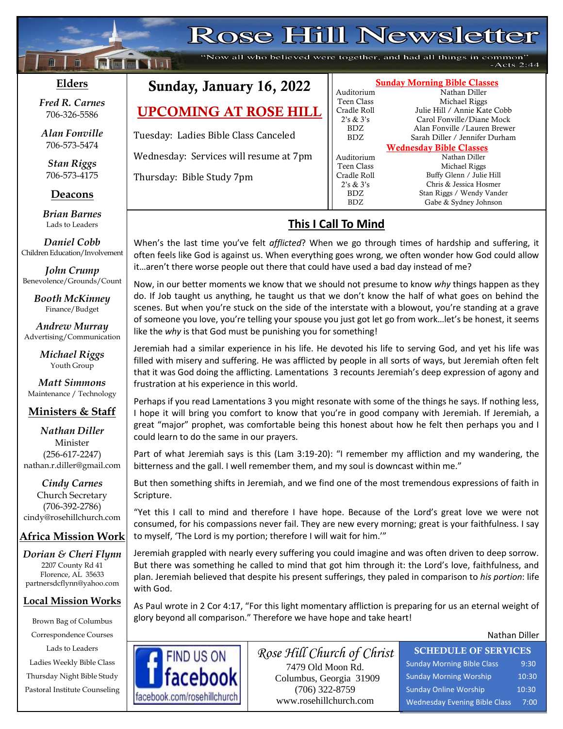# Rose Hill Newsletter

"Now all who believed were together, and had all things in common"  $-Acts 2:44$ 

## **Elders**

**;30Ma\*``**

**Following Nilsi** 

*Fred R. Carnes* 706-326-5586

*Alan Fonville* 706-573-5474

*Stan Riggs* 706-573-4175

**Deacons**

**;**  *Brian Barnes* Lads to Leaders

*Daniel Cobb* Children Education/Involvement

*John Crump* Benevolence/Grounds/Count

> *Booth McKinney* Finance/Budget

*Andrew Murray* Advertising/Communication

> *Michael Riggs* Youth Group

*Matt Simmons* Maintenance / Technology

## **Ministers & Staff**

#### *Nathan Diller* Minister (256-617-2247) nathan.r.diller@gmail.com

*Cindy Carnes* Church Secretary (706-392-2786) cindy@rosehillchurch.com

# **Africa Mission Work**

*Dorian & Cheri Flynn* 2207 County Rd 41 Florence, AL 35633 [partnersdcflynn@yahoo.com](mailto:partnersdcflynn@yahoo.com)

## **Local Mission Works**

Brown Bag of Columbus Correspondence Courses Lads to Leaders Ladies Weekly Bible Class Thursday Night Bible Study Pastoral Institute Counseling

# Sunday, January 16, 2022

# UPCOMING AT ROSE HILL

Tuesday: Ladies Bible Class Canceled

Wednesday: Services will resume at 7pm

Thursday: Bible Study 7pm

# Auditorium Teen Class Michael Riggs

#### Sunday Morning Bible Classes

Auditorium Nathan Diller Teen Class Michael Riggs Cradle Roll Julie Hill / Annie Kate Cobb 2's & 3's Carol Fonville/Diane Mock BDZ Alan Fonville /Lauren Brewer BDZ Sarah Diller / Jennifer Durham

Wednesday Bible Classes Cradle Roll Buffy Glenn / Julie Hill 2's & 3's Chris & Jessica Hosmer BDZ Stan Riggs / Wendy Vander<br>BDZ Gabe & Sydney Johnson Gabe & Sydney Johnson

# **This I Call To Mind**

When's the last time you've felt *afflicted*? When we go through times of hardship and suffering, it often feels like God is against us. When everything goes wrong, we often wonder how God could allow it…aren't there worse people out there that could have used a bad day instead of me?

Now, in our better moments we know that we should not presume to know *why* things happen as they do. If Job taught us anything, he taught us that we don't know the half of what goes on behind the scenes. But when you're stuck on the side of the interstate with a blowout, you're standing at a grave of someone you love, you're telling your spouse you just got let go from work…let's be honest, it seems like the *why* is that God must be punishing you for something!

Jeremiah had a similar experience in his life. He devoted his life to serving God, and yet his life was filled with misery and suffering. He was afflicted by people in all sorts of ways, but Jeremiah often felt that it was God doing the afflicting. Lamentations 3 recounts Jeremiah's deep expression of agony and frustration at his experience in this world.

Perhaps if you read Lamentations 3 you might resonate with some of the things he says. If nothing less, I hope it will bring you comfort to know that you're in good company with Jeremiah. If Jeremiah, a great "major" prophet, was comfortable being this honest about how he felt then perhaps you and I could learn to do the same in our prayers.

Part of what Jeremiah says is this (Lam 3:19-20): "I remember my affliction and my wandering, the bitterness and the gall. I well remember them, and my soul is downcast within me."

But then something shifts in Jeremiah, and we find one of the most tremendous expressions of faith in Scripture.

"Yet this I call to mind and therefore I have hope. Because of the Lord's great love we were not consumed, for his compassions never fail. They are new every morning; great is your faithfulness. I say to myself, 'The Lord is my portion; therefore I will wait for him.'"

Jeremiah grappled with nearly every suffering you could imagine and was often driven to deep sorrow. But there was something he called to mind that got him through it: the Lord's love, faithfulness, and plan. Jeremiah believed that despite his present sufferings, they paled in comparison to *his portion*: life with God.

As Paul wrote in 2 Cor 4:17, "For this light momentary affliction is preparing for us an eternal weight of glory beyond all comparison." Therefore we have hope and take heart!

#### Nathan Diller



*Rose Hill Church of Christ* 7479 Old Moon Rd. Columbus, Georgia 31909 (706) 322-8759 www.rosehillchurch.com

SCHEDULE OF SERVICES Sunday Morning Bible Class 9:30 Sunday Morning Worship 10:30 Sunday Online Worship 10:30 Wednesday Evening Bible Class 7:00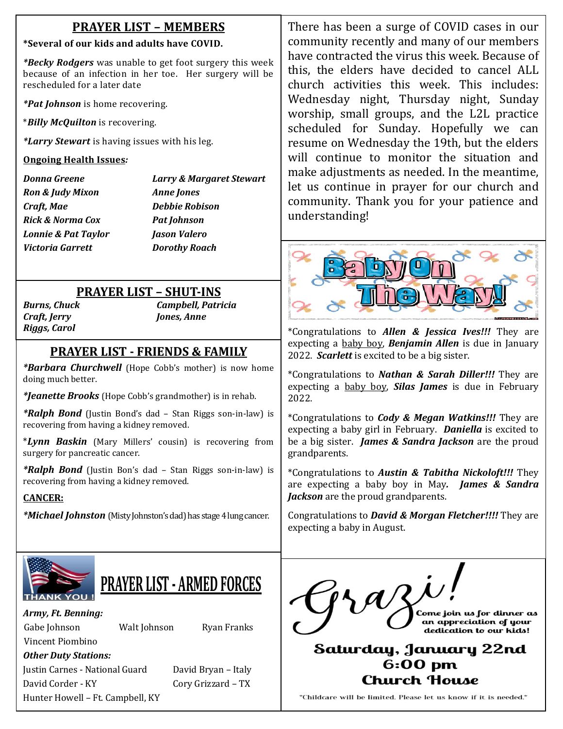# **PRAYER LIST – MEMBERS**

#### **\*Several of our kids and adults have COVID.**

*\*Becky Rodgers* was unable to get foot surgery this week because of an infection in her toe. Her surgery will be rescheduled for a later date

*\*Pat Johnson* is home recovering.

\**Billy McQuilton* is recovering.

*\*Larry Stewart* is having issues with his leg.

## **Ongoing Health Issues***:*

*Ron & Judy Mixon Anne Jones Craft, Mae Debbie Robison Rick & Norma Cox Pat Johnson Lonnie & Pat Taylor Jason Valero Victoria Garrett Dorothy Roach*

*Donna Greene Larry & Margaret Stewart*

# **PRAYER LIST – SHUT-INS**

*Craft, Jerry Jones, Anne Riggs, Carol*

*Burns, Chuck Campbell, Patricia*

# **PRAYER LIST - FRIENDS & FAMILY**

 *\*Barbara Churchwell* (Hope Cobb's mother) is now home doing much better.

*\*Jeanette Brooks* (Hope Cobb's grandmother) is in rehab.

*\*Ralph Bond* (Justin Bond's dad – Stan Riggs son-in-law) is recovering from having a kidney removed.

\**Lynn Baskin* (Mary Millers' cousin) is recovering from surgery for pancreatic cancer.

*\*Ralph Bond* (Justin Bon's dad – Stan Riggs son-in-law) is recovering from having a kidney removed.

## **CANCER:**

*\*Michael Johnston* (Misty Johnston's dad) has stage 4 lung cancer.

There has been a surge of COVID cases in our community recently and many of our members have contracted the virus this week. Because of this, the elders have decided to cancel ALL church activities this week. This includes: Wednesday night, Thursday night, Sunday worship, small groups, and the L2L practice scheduled for Sunday. Hopefully we can resume on Wednesday the 19th, but the elders will continue to monitor the situation and make adjustments as needed. In the meantime, let us continue in prayer for our church and community. Thank you for your patience and understanding!



\*Congratulations to *Allen & Jessica Ives!!!* They are expecting a baby boy, *Benjamin Allen* is due in January 2022. *Scarlett* is excited to be a big sister.

\*Congratulations to *Nathan & Sarah Diller!!!* They are expecting a baby boy, *Silas James* is due in February 2022.

\*Congratulations to *Cody & Megan Watkins!!!* They are expecting a baby girl in February. *Daniella* is excited to be a big sister. *James & Sandra Jackson* are the proud grandparents.

\*Congratulations to *Austin & Tabitha Nickoloft!!!* They are expecting a baby boy in May*. James & Sandra Jackson* are the proud grandparents.

Congratulations to *David & Morgan Fletcher!!!!* They are expecting a baby in August.

Saturday, January 22nd  $6:00$  pm Church House

\*Childcare will be limited. Please let us know if it is needed.\*

Come join us for dinner as an appreciation of your dedication to our kids!



# **PRAYER LIST - ARMED FORCES**

*Army, Ft. Benning:*

Gabe Johnson Walt Johnson Ryan Franks

Vincent Piombino *Other Duty Stations:*

Justin Carnes - National Guard David Bryan – Italy David Corder - KY Cory Grizzard – TX Hunter Howell – Ft. Campbell, KY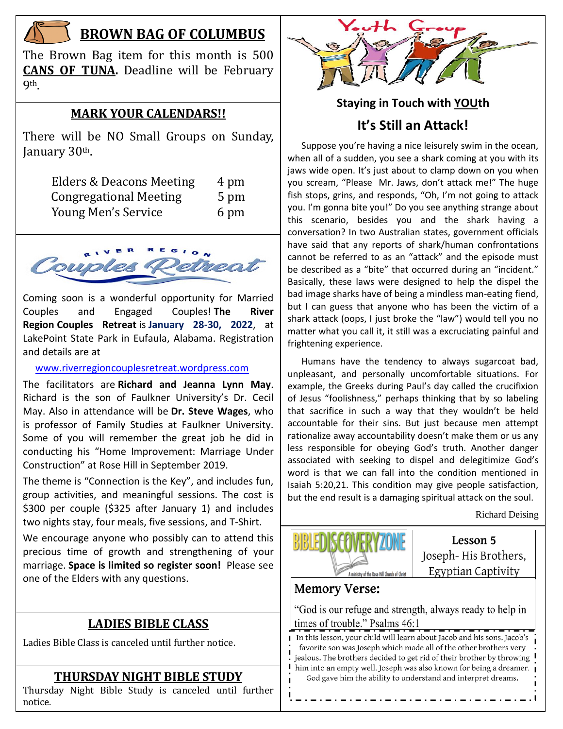

# **BROWN BAG OF COLUMBUS**

The Brown Bag item for this month is 500 **CANS OF TUNA.** Deadline will be February **9th** 

#### **MARK YOUR CALENDARS!!**

There will be NO Small Groups on Sunday, January 30th.

| Elders & Deacons Meeting      | 4 pm |
|-------------------------------|------|
| <b>Congregational Meeting</b> | 5 pm |
| Young Men's Service           | 6 pm |



Coming soon is a wonderful opportunity for Married Couples and Engaged Couples! **The River Region Couples Retreat** is **January 28-30, 2022**, at LakePoint State Park in Eufaula, Alabama. Registration and details are at

#### [www.riverregioncouplesretreat.wordpress.com](http://www.riverregioncouplesretreat.wordpress.com/)

The facilitators are **Richard and Jeanna Lynn May**. Richard is the son of Faulkner University's Dr. Cecil May. Also in attendance will be **Dr. Steve Wages**, who is professor of Family Studies at Faulkner University. Some of you will remember the great job he did in conducting his "Home Improvement: Marriage Under Construction" at Rose Hill in September 2019.

The theme is "Connection is the Key", and includes fun, group activities, and meaningful sessions. The cost is \$300 per couple (\$325 after January 1) and includes two nights stay, four meals, five sessions, and T-Shirt.

We encourage anyone who possibly can to attend this precious time of growth and strengthening of your marriage. **Space is limited so register soon!** Please see one of the Elders with any questions.

# **LADIES BIBLE CLASS**

Ladies Bible Class is canceled until further notice.

## **THURSDAY NIGHT BIBLE STUDY**

Thursday Night Bible Study is canceled until further<br>notice notice.



# **Staying in Touch with YOUth It's Still an Attack!**

 Suppose you're having a nice leisurely swim in the ocean, when all of a sudden, you see a shark coming at you with its jaws wide open. It's just about to clamp down on you when you scream, "Please Mr. Jaws, don't attack me!" The huge fish stops, grins, and responds, "Oh, I'm not going to attack you. I'm gonna bite you!" Do you see anything strange about this scenario, besides you and the shark having a conversation? In two Australian states, government officials have said that any reports of shark/human confrontations cannot be referred to as an "attack" and the episode must be described as a "bite" that occurred during an "incident." Basically, these laws were designed to help the dispel the bad image sharks have of being a mindless man-eating fiend, but I can guess that anyone who has been the victim of a shark attack (oops, I just broke the "law") would tell you no matter what you call it, it still was a excruciating painful and frightening experience.

 Humans have the tendency to always sugarcoat bad, unpleasant, and personally uncomfortable situations. For example, the Greeks during Paul's day called the crucifixion of Jesus "foolishness," perhaps thinking that by so labeling that sacrifice in such a way that they wouldn't be held accountable for their sins. But just because men attempt rationalize away accountability doesn't make them or us any less responsible for obeying God's truth. Another danger associated with seeking to dispel and delegitimize God's word is that we can fall into the condition mentioned in Isaiah 5:20,21. This condition may give people satisfaction, but the end result is a damaging spiritual attack on the soul.

Richard Deising



Lesson 5 Joseph-His Brothers, Egyptian Captivity

# **Memory Verse:**

"God is our refuge and strength, always ready to help in times of trouble." Psalms 46:1

I In this lesson, your child will learn about Jacob and his sons. Jacob's favorite son was Joseph which made all of the other brothers very Ï jealous. The brothers decided to get rid of their brother by throwing him into an empty well. Joseph was also known for being a dreamer. ı God gave him the ability to understand and interpret dreams.